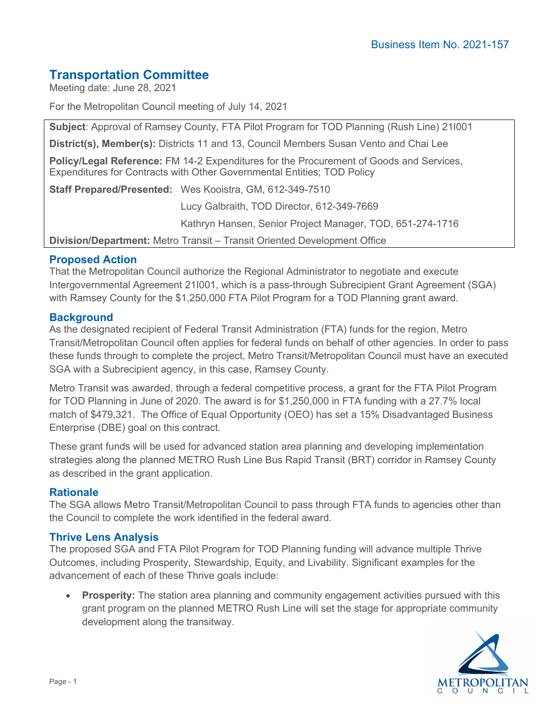# **Transportation Committee**

Meeting date: June 28, 2021

For the Metropolitan Council meeting of July 14, 2021

**Subject**: Approval of Ramsey County, FTA Pilot Program for TOD Planning (Rush Line) 21I001

**District(s), Member(s):** Districts 11 and 13, Council Members Susan Vento and Chai Lee

**Policy/Legal Reference:** FM 14-2 Expenditures for the Procurement of Goods and Services, Expenditures for Contracts with Other Governmental Entities; TOD Policy

**Staff Prepared/Presented:** Wes Kooistra, GM, 612-349-7510 Lucy Galbraith, TOD Director, 612-349-7669 Kathryn Hansen, Senior Project Manager, TOD, 651-274-1716 **Division/Department:** Metro Transit – Transit Oriented Development Office

### **Proposed Action**

That the Metropolitan Council authorize the Regional Administrator to negotiate and execute Intergovernmental Agreement 21I001, which is a pass-through Subrecipient Grant Agreement (SGA) with Ramsey County for the \$1,250,000 FTA Pilot Program for a TOD Planning grant award.

#### **Background**

As the designated recipient of Federal Transit Administration (FTA) funds for the region, Metro Transit/Metropolitan Council often applies for federal funds on behalf of other agencies. In order to pass these funds through to complete the project, Metro Transit/Metropolitan Council must have an executed SGA with a Subrecipient agency, in this case, Ramsey County.

Metro Transit was awarded, through a federal competitive process, a grant for the FTA Pilot Program for TOD Planning in June of 2020. The award is for \$1,250,000 in FTA funding with a 27.7% local match of \$479,321. The Office of Equal Opportunity (OEO) has set a 15% Disadvantaged Business Enterprise (DBE) goal on this contract.

These grant funds will be used for advanced station area planning and developing implementation strategies along the planned METRO Rush Line Bus Rapid Transit (BRT) corridor in Ramsey County as described in the grant application.

#### **Rationale**

The SGA allows Metro Transit/Metropolitan Council to pass through FTA funds to agencies other than the Council to complete the work identified in the federal award.

## **Thrive Lens Analysis**

The proposed SGA and FTA Pilot Program for TOD Planning funding will advance multiple Thrive Outcomes, including Prosperity, Stewardship, Equity, and Livability. Significant examples for the advancement of each of these Thrive goals include:

**Prosperity:** The station area planning and community engagement activities pursued with this grant program on the planned METRO Rush Line will set the stage for appropriate community development along the transitway.